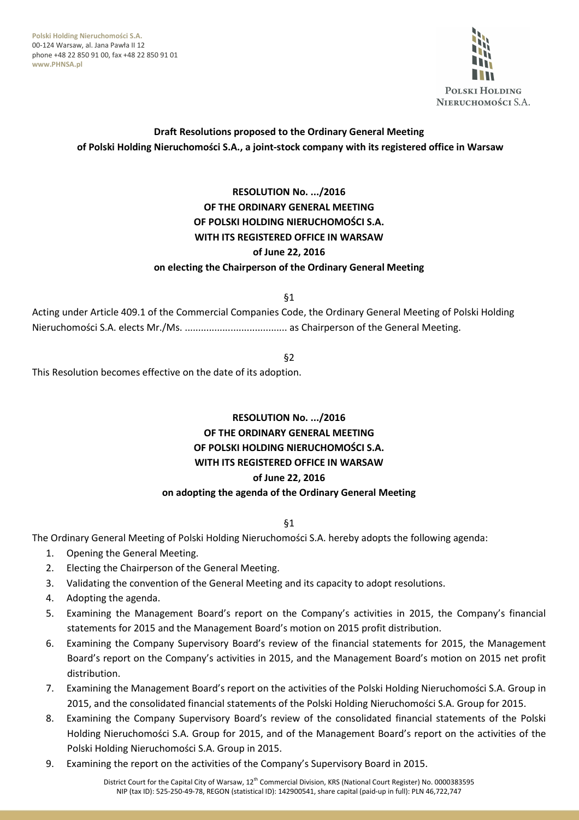**Polski Holding Nieruchomości S.A.**  00-124 Warsaw, al. Jana Pawła II 12 phone +48 22 850 91 00, fax +48 22 850 91 01 **www.PHNSA.pl**



# **Draft Resolutions proposed to the Ordinary General Meeting of Polski Holding Nieruchomości S.A., a joint-stock company with its registered office in Warsaw**

# **RESOLUTION No. .../2016 OF THE ORDINARY GENERAL MEETING OF POLSKI HOLDING NIERUCHOMOŚCI S.A. WITH ITS REGISTERED OFFICE IN WARSAW of June 22, 2016 on electing the Chairperson of the Ordinary General Meeting**

§1

Acting under Article 409.1 of the Commercial Companies Code, the Ordinary General Meeting of Polski Holding Nieruchomości S.A. elects Mr./Ms. ...................................... as Chairperson of the General Meeting.

§2

This Resolution becomes effective on the date of its adoption.

# **RESOLUTION No. .../2016 OF THE ORDINARY GENERAL MEETING OF POLSKI HOLDING NIERUCHOMOŚCI S.A. WITH ITS REGISTERED OFFICE IN WARSAW of June 22, 2016 on adopting the agenda of the Ordinary General Meeting**

§1

The Ordinary General Meeting of Polski Holding Nieruchomości S.A. hereby adopts the following agenda:

- 1. Opening the General Meeting.
- 2. Electing the Chairperson of the General Meeting.
- 3. Validating the convention of the General Meeting and its capacity to adopt resolutions.
- 4. Adopting the agenda.
- 5. Examining the Management Board's report on the Company's activities in 2015, the Company's financial statements for 2015 and the Management Board's motion on 2015 profit distribution.
- 6. Examining the Company Supervisory Board's review of the financial statements for 2015, the Management Board's report on the Company's activities in 2015, and the Management Board's motion on 2015 net profit distribution.
- 7. Examining the Management Board's report on the activities of the Polski Holding Nieruchomości S.A. Group in 2015, and the consolidated financial statements of the Polski Holding Nieruchomości S.A. Group for 2015.
- 8. Examining the Company Supervisory Board's review of the consolidated financial statements of the Polski Holding Nieruchomości S.A. Group for 2015, and of the Management Board's report on the activities of the Polski Holding Nieruchomości S.A. Group in 2015.
- 9. Examining the report on the activities of the Company's Supervisory Board in 2015.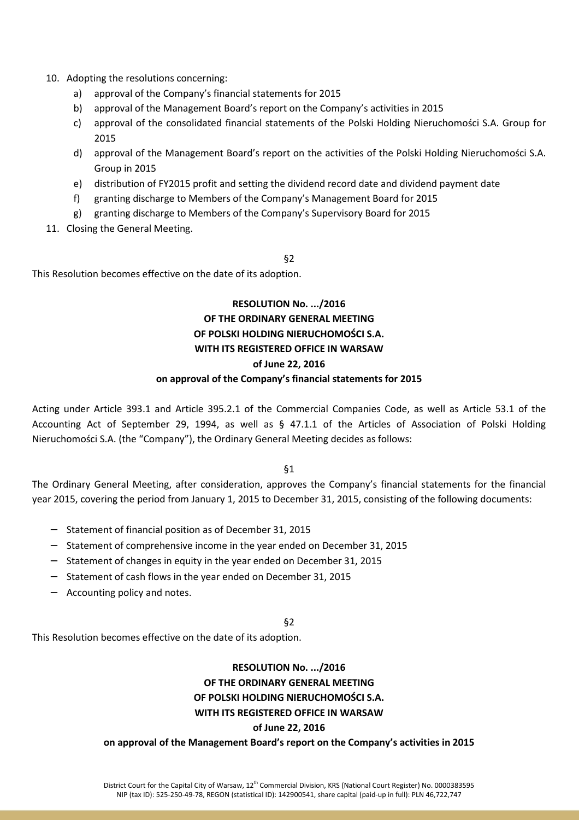- 10. Adopting the resolutions concerning:
	- a) approval of the Company's financial statements for 2015
	- b) approval of the Management Board's report on the Company's activities in 2015
	- c) approval of the consolidated financial statements of the Polski Holding Nieruchomości S.A. Group for 2015
	- d) approval of the Management Board's report on the activities of the Polski Holding Nieruchomości S.A. Group in 2015
	- e) distribution of FY2015 profit and setting the dividend record date and dividend payment date
	- f) granting discharge to Members of the Company's Management Board for 2015
	- g) granting discharge to Members of the Company's Supervisory Board for 2015
- 11. Closing the General Meeting.

#### §2

This Resolution becomes effective on the date of its adoption.

# **RESOLUTION No. .../2016 OF THE ORDINARY GENERAL MEETING OF POLSKI HOLDING NIERUCHOMOŚCI S.A. WITH ITS REGISTERED OFFICE IN WARSAW of June 22, 2016**

#### **on approval of the Company's financial statements for 2015**

Acting under Article 393.1 and Article 395.2.1 of the Commercial Companies Code, as well as Article 53.1 of the Accounting Act of September 29, 1994, as well as § 47.1.1 of the Articles of Association of Polski Holding Nieruchomości S.A. (the "Company"), the Ordinary General Meeting decides as follows:

§1

The Ordinary General Meeting, after consideration, approves the Company's financial statements for the financial year 2015, covering the period from January 1, 2015 to December 31, 2015, consisting of the following documents:

- − Statement of financial position as of December 31, 2015
- − Statement of comprehensive income in the year ended on December 31, 2015
- − Statement of changes in equity in the year ended on December 31, 2015
- − Statement of cash flows in the year ended on December 31, 2015
- − Accounting policy and notes.

#### §2

This Resolution becomes effective on the date of its adoption.

### **RESOLUTION No. .../2016 OF THE ORDINARY GENERAL MEETING**

#### **OF POLSKI HOLDING NIERUCHOMOŚCI S.A.**

#### **WITH ITS REGISTERED OFFICE IN WARSAW**

#### **of June 22, 2016**

#### **on approval of the Management Board's report on the Company's activities in 2015**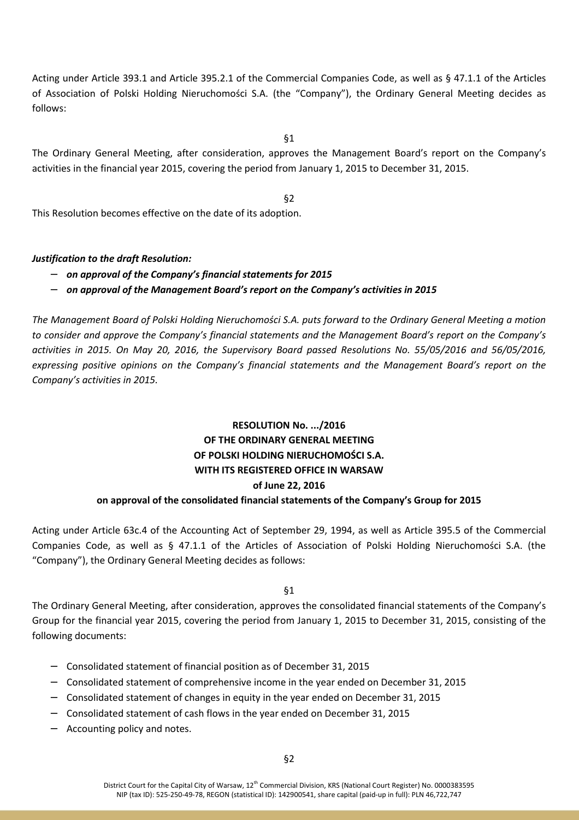Acting under Article 393.1 and Article 395.2.1 of the Commercial Companies Code, as well as § 47.1.1 of the Articles of Association of Polski Holding Nieruchomości S.A. (the "Company"), the Ordinary General Meeting decides as follows:

§1

The Ordinary General Meeting, after consideration, approves the Management Board's report on the Company's activities in the financial year 2015, covering the period from January 1, 2015 to December 31, 2015.

§2

This Resolution becomes effective on the date of its adoption.

### *Justification to the draft Resolution:*

- − *on approval of the Company's financial statements for 2015*
- − *on approval of the Management Board's report on the Company's activities in 2015*

*The Management Board of Polski Holding Nieruchomości S.A. puts forward to the Ordinary General Meeting a motion to consider and approve the Company's financial statements and the Management Board's report on the Company's activities in 2015. On May 20, 2016, the Supervisory Board passed Resolutions No. 55/05/2016 and 56/05/2016, expressing positive opinions on the Company's financial statements and the Management Board's report on the Company's activities in 2015.* 

# **RESOLUTION No. .../2016 OF THE ORDINARY GENERAL MEETING OF POLSKI HOLDING NIERUCHOMOŚCI S.A. WITH ITS REGISTERED OFFICE IN WARSAW of June 22, 2016**

### **on approval of the consolidated financial statements of the Company's Group for 2015**

Acting under Article 63c.4 of the Accounting Act of September 29, 1994, as well as Article 395.5 of the Commercial Companies Code, as well as § 47.1.1 of the Articles of Association of Polski Holding Nieruchomości S.A. (the "Company"), the Ordinary General Meeting decides as follows:

§1

The Ordinary General Meeting, after consideration, approves the consolidated financial statements of the Company's Group for the financial year 2015, covering the period from January 1, 2015 to December 31, 2015, consisting of the following documents:

- − Consolidated statement of financial position as of December 31, 2015
- − Consolidated statement of comprehensive income in the year ended on December 31, 2015
- − Consolidated statement of changes in equity in the year ended on December 31, 2015
- − Consolidated statement of cash flows in the year ended on December 31, 2015
- − Accounting policy and notes.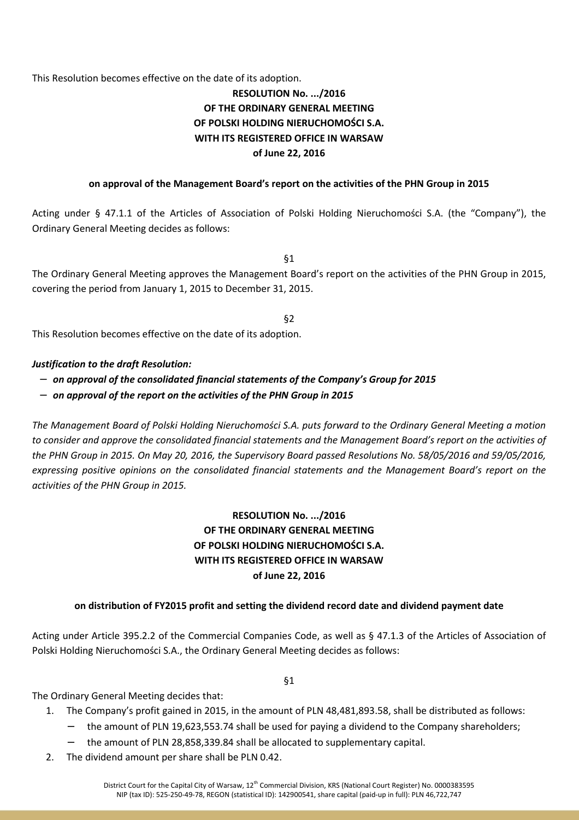This Resolution becomes effective on the date of its adoption.

# **RESOLUTION No. .../2016 OF THE ORDINARY GENERAL MEETING OF POLSKI HOLDING NIERUCHOMOŚCI S.A. WITH ITS REGISTERED OFFICE IN WARSAW of June 22, 2016**

#### **on approval of the Management Board's report on the activities of the PHN Group in 2015**

Acting under § 47.1.1 of the Articles of Association of Polski Holding Nieruchomości S.A. (the "Company"), the Ordinary General Meeting decides as follows:

§1

The Ordinary General Meeting approves the Management Board's report on the activities of the PHN Group in 2015, covering the period from January 1, 2015 to December 31, 2015.

§2

This Resolution becomes effective on the date of its adoption.

#### *Justification to the draft Resolution:*

- − *on approval of the consolidated financial statements of the Company's Group for 2015*
- − *on approval of the report on the activities of the PHN Group in 2015*

*The Management Board of Polski Holding Nieruchomości S.A. puts forward to the Ordinary General Meeting a motion to consider and approve the consolidated financial statements and the Management Board's report on the activities of the PHN Group in 2015. On May 20, 2016, the Supervisory Board passed Resolutions No. 58/05/2016 and 59/05/2016, expressing positive opinions on the consolidated financial statements and the Management Board's report on the activities of the PHN Group in 2015.* 

# **RESOLUTION No. .../2016 OF THE ORDINARY GENERAL MEETING OF POLSKI HOLDING NIERUCHOMOŚCI S.A. WITH ITS REGISTERED OFFICE IN WARSAW of June 22, 2016**

### **on distribution of FY2015 profit and setting the dividend record date and dividend payment date**

Acting under Article 395.2.2 of the Commercial Companies Code, as well as § 47.1.3 of the Articles of Association of Polski Holding Nieruchomości S.A., the Ordinary General Meeting decides as follows:

§1

The Ordinary General Meeting decides that:

- 1. The Company's profit gained in 2015, in the amount of PLN 48,481,893.58, shall be distributed as follows:
	- the amount of PLN 19,623,553.74 shall be used for paying a dividend to the Company shareholders;
	- − the amount of PLN 28,858,339.84 shall be allocated to supplementary capital.
- 2. The dividend amount per share shall be PLN 0.42.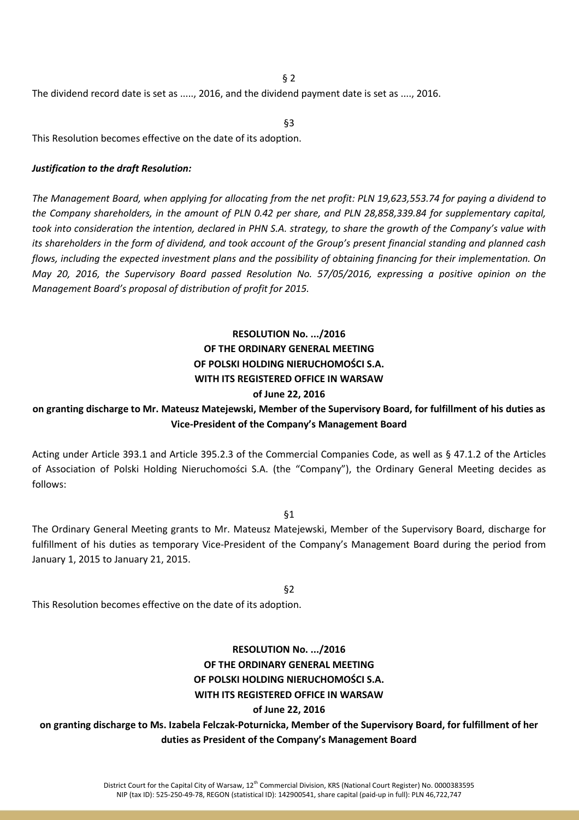§ 2

The dividend record date is set as ....., 2016, and the dividend payment date is set as ...., 2016.

§3

This Resolution becomes effective on the date of its adoption.

#### *Justification to the draft Resolution:*

*The Management Board, when applying for allocating from the net profit: PLN 19,623,553.74 for paying a dividend to the Company shareholders, in the amount of PLN 0.42 per share, and PLN 28,858,339.84 for supplementary capital, took into consideration the intention, declared in PHN S.A. strategy, to share the growth of the Company's value with its shareholders in the form of dividend, and took account of the Group's present financial standing and planned cash flows, including the expected investment plans and the possibility of obtaining financing for their implementation. On May 20, 2016, the Supervisory Board passed Resolution No. 57/05/2016, expressing a positive opinion on the Management Board's proposal of distribution of profit for 2015.*

## **RESOLUTION No. .../2016 OF THE ORDINARY GENERAL MEETING OF POLSKI HOLDING NIERUCHOMOŚCI S.A. WITH ITS REGISTERED OFFICE IN WARSAW of June 22, 2016**

### **on granting discharge to Mr. Mateusz Matejewski, Member of the Supervisory Board, for fulfillment of his duties as Vice-President of the Company's Management Board**

Acting under Article 393.1 and Article 395.2.3 of the Commercial Companies Code, as well as § 47.1.2 of the Articles of Association of Polski Holding Nieruchomości S.A. (the "Company"), the Ordinary General Meeting decides as follows:

§1

The Ordinary General Meeting grants to Mr. Mateusz Matejewski, Member of the Supervisory Board, discharge for fulfillment of his duties as temporary Vice-President of the Company's Management Board during the period from January 1, 2015 to January 21, 2015.

§2

This Resolution becomes effective on the date of its adoption.

### **RESOLUTION No. .../2016 OF THE ORDINARY GENERAL MEETING OF POLSKI HOLDING NIERUCHOMOŚCI S.A. WITH ITS REGISTERED OFFICE IN WARSAW of June 22, 2016**

**on granting discharge to Ms. Izabela Felczak-Poturnicka, Member of the Supervisory Board, for fulfillment of her duties as President of the Company's Management Board**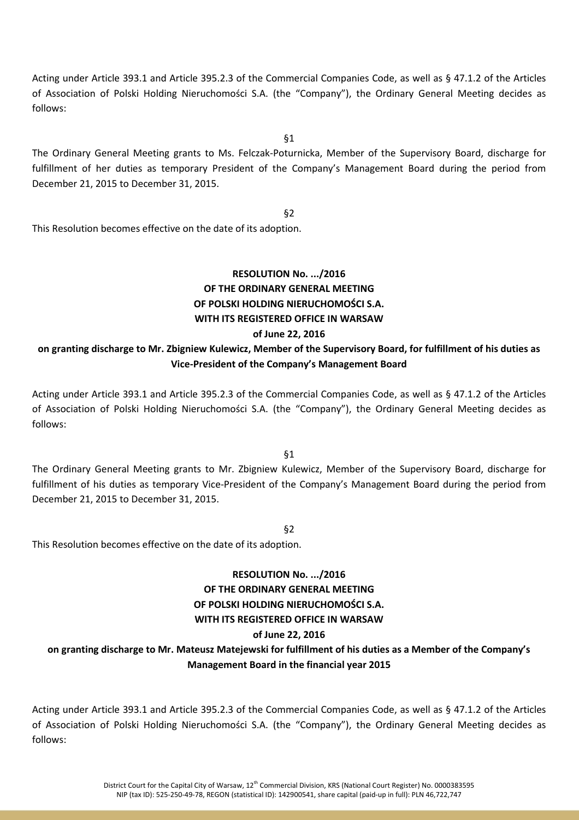Acting under Article 393.1 and Article 395.2.3 of the Commercial Companies Code, as well as § 47.1.2 of the Articles of Association of Polski Holding Nieruchomości S.A. (the "Company"), the Ordinary General Meeting decides as follows:

§1

The Ordinary General Meeting grants to Ms. Felczak-Poturnicka, Member of the Supervisory Board, discharge for fulfillment of her duties as temporary President of the Company's Management Board during the period from December 21, 2015 to December 31, 2015.

§2

This Resolution becomes effective on the date of its adoption.

## **RESOLUTION No. .../2016 OF THE ORDINARY GENERAL MEETING OF POLSKI HOLDING NIERUCHOMOŚCI S.A. WITH ITS REGISTERED OFFICE IN WARSAW of June 22, 2016**

### **on granting discharge to Mr. Zbigniew Kulewicz, Member of the Supervisory Board, for fulfillment of his duties as Vice-President of the Company's Management Board**

Acting under Article 393.1 and Article 395.2.3 of the Commercial Companies Code, as well as § 47.1.2 of the Articles of Association of Polski Holding Nieruchomości S.A. (the "Company"), the Ordinary General Meeting decides as follows:

§1

The Ordinary General Meeting grants to Mr. Zbigniew Kulewicz, Member of the Supervisory Board, discharge for fulfillment of his duties as temporary Vice-President of the Company's Management Board during the period from December 21, 2015 to December 31, 2015.

§2

This Resolution becomes effective on the date of its adoption.

# **RESOLUTION No. .../2016 OF THE ORDINARY GENERAL MEETING OF POLSKI HOLDING NIERUCHOMOŚCI S.A. WITH ITS REGISTERED OFFICE IN WARSAW of June 22, 2016**

# **on granting discharge to Mr. Mateusz Matejewski for fulfillment of his duties as a Member of the Company's Management Board in the financial year 2015**

Acting under Article 393.1 and Article 395.2.3 of the Commercial Companies Code, as well as § 47.1.2 of the Articles of Association of Polski Holding Nieruchomości S.A. (the "Company"), the Ordinary General Meeting decides as follows: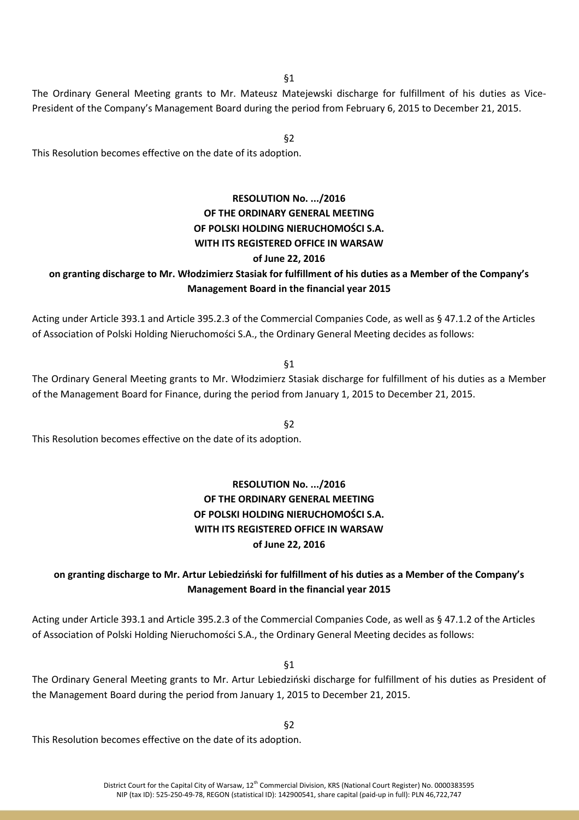§1

The Ordinary General Meeting grants to Mr. Mateusz Matejewski discharge for fulfillment of his duties as Vice-President of the Company's Management Board during the period from February 6, 2015 to December 21, 2015.

§2

This Resolution becomes effective on the date of its adoption.

## **RESOLUTION No. .../2016 OF THE ORDINARY GENERAL MEETING OF POLSKI HOLDING NIERUCHOMOŚCI S.A. WITH ITS REGISTERED OFFICE IN WARSAW of June 22, 2016**

### **on granting discharge to Mr. Włodzimierz Stasiak for fulfillment of his duties as a Member of the Company's Management Board in the financial year 2015**

Acting under Article 393.1 and Article 395.2.3 of the Commercial Companies Code, as well as § 47.1.2 of the Articles of Association of Polski Holding Nieruchomości S.A., the Ordinary General Meeting decides as follows:

§1

The Ordinary General Meeting grants to Mr. Włodzimierz Stasiak discharge for fulfillment of his duties as a Member of the Management Board for Finance, during the period from January 1, 2015 to December 21, 2015.

§2

This Resolution becomes effective on the date of its adoption.

## **RESOLUTION No. .../2016 OF THE ORDINARY GENERAL MEETING OF POLSKI HOLDING NIERUCHOMOŚCI S.A. WITH ITS REGISTERED OFFICE IN WARSAW of June 22, 2016**

### **on granting discharge to Mr. Artur Lebiedziński for fulfillment of his duties as a Member of the Company's Management Board in the financial year 2015**

Acting under Article 393.1 and Article 395.2.3 of the Commercial Companies Code, as well as § 47.1.2 of the Articles of Association of Polski Holding Nieruchomości S.A., the Ordinary General Meeting decides as follows:

§1

The Ordinary General Meeting grants to Mr. Artur Lebiedziński discharge for fulfillment of his duties as President of the Management Board during the period from January 1, 2015 to December 21, 2015.

§2

This Resolution becomes effective on the date of its adoption.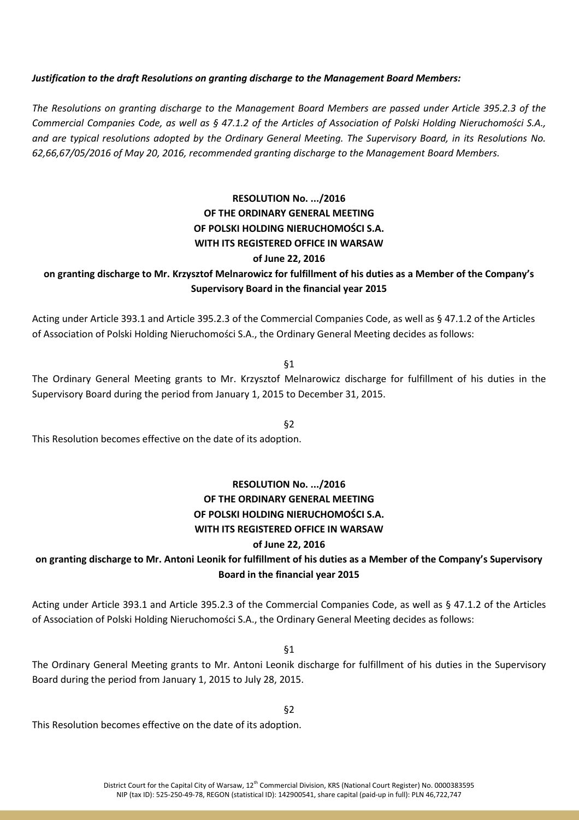#### *Justification to the draft Resolutions on granting discharge to the Management Board Members:*

*The Resolutions on granting discharge to the Management Board Members are passed under Article 395.2.3 of the Commercial Companies Code, as well as § 47.1.2 of the Articles of Association of Polski Holding Nieruchomości S.A., and are typical resolutions adopted by the Ordinary General Meeting. The Supervisory Board, in its Resolutions No. 62,66,67/05/2016 of May 20, 2016, recommended granting discharge to the Management Board Members.* 

# **RESOLUTION No. .../2016 OF THE ORDINARY GENERAL MEETING OF POLSKI HOLDING NIERUCHOMOŚCI S.A. WITH ITS REGISTERED OFFICE IN WARSAW of June 22, 2016**

### **on granting discharge to Mr. Krzysztof Melnarowicz for fulfillment of his duties as a Member of the Company's Supervisory Board in the financial year 2015**

Acting under Article 393.1 and Article 395.2.3 of the Commercial Companies Code, as well as § 47.1.2 of the Articles of Association of Polski Holding Nieruchomości S.A., the Ordinary General Meeting decides as follows:

§1

The Ordinary General Meeting grants to Mr. Krzysztof Melnarowicz discharge for fulfillment of his duties in the Supervisory Board during the period from January 1, 2015 to December 31, 2015.

§2

This Resolution becomes effective on the date of its adoption.

# **RESOLUTION No. .../2016 OF THE ORDINARY GENERAL MEETING OF POLSKI HOLDING NIERUCHOMOŚCI S.A. WITH ITS REGISTERED OFFICE IN WARSAW of June 22, 2016**

### **on granting discharge to Mr. Antoni Leonik for fulfillment of his duties as a Member of the Company's Supervisory Board in the financial year 2015**

Acting under Article 393.1 and Article 395.2.3 of the Commercial Companies Code, as well as § 47.1.2 of the Articles of Association of Polski Holding Nieruchomości S.A., the Ordinary General Meeting decides as follows:

§1

The Ordinary General Meeting grants to Mr. Antoni Leonik discharge for fulfillment of his duties in the Supervisory Board during the period from January 1, 2015 to July 28, 2015.

§2

This Resolution becomes effective on the date of its adoption.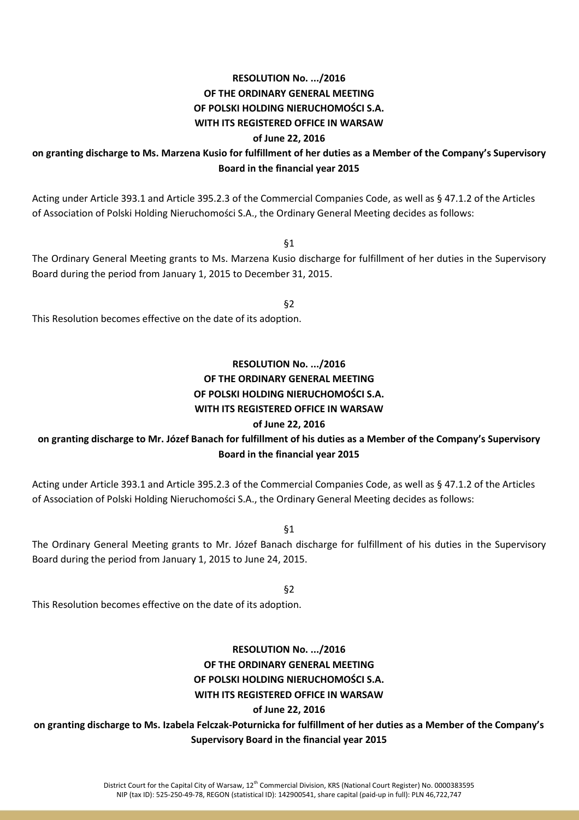#### **RESOLUTION No. .../2016**

**OF THE ORDINARY GENERAL MEETING**

#### **OF POLSKI HOLDING NIERUCHOMOŚCI S.A.**

#### **WITH ITS REGISTERED OFFICE IN WARSAW**

#### **of June 22, 2016**

### **on granting discharge to Ms. Marzena Kusio for fulfillment of her duties as a Member of the Company's Supervisory Board in the financial year 2015**

Acting under Article 393.1 and Article 395.2.3 of the Commercial Companies Code, as well as § 47.1.2 of the Articles of Association of Polski Holding Nieruchomości S.A., the Ordinary General Meeting decides as follows:

§1

The Ordinary General Meeting grants to Ms. Marzena Kusio discharge for fulfillment of her duties in the Supervisory Board during the period from January 1, 2015 to December 31, 2015.

§2

This Resolution becomes effective on the date of its adoption.

## **RESOLUTION No. .../2016 OF THE ORDINARY GENERAL MEETING OF POLSKI HOLDING NIERUCHOMOŚCI S.A. WITH ITS REGISTERED OFFICE IN WARSAW**

#### **of June 22, 2016**

# **on granting discharge to Mr. Józef Banach for fulfillment of his duties as a Member of the Company's Supervisory Board in the financial year 2015**

Acting under Article 393.1 and Article 395.2.3 of the Commercial Companies Code, as well as § 47.1.2 of the Articles of Association of Polski Holding Nieruchomości S.A., the Ordinary General Meeting decides as follows:

§1

The Ordinary General Meeting grants to Mr. Józef Banach discharge for fulfillment of his duties in the Supervisory Board during the period from January 1, 2015 to June 24, 2015.

§2

This Resolution becomes effective on the date of its adoption.

## **RESOLUTION No. .../2016 OF THE ORDINARY GENERAL MEETING OF POLSKI HOLDING NIERUCHOMOŚCI S.A. WITH ITS REGISTERED OFFICE IN WARSAW of June 22, 2016**

# **on granting discharge to Ms. Izabela Felczak-Poturnicka for fulfillment of her duties as a Member of the Company's Supervisory Board in the financial year 2015**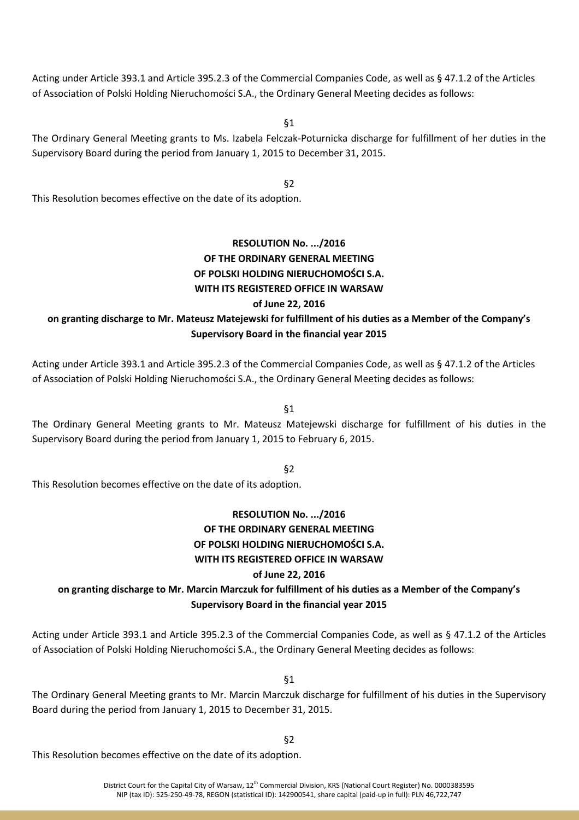Acting under Article 393.1 and Article 395.2.3 of the Commercial Companies Code, as well as § 47.1.2 of the Articles of Association of Polski Holding Nieruchomości S.A., the Ordinary General Meeting decides as follows:

§1

The Ordinary General Meeting grants to Ms. Izabela Felczak-Poturnicka discharge for fulfillment of her duties in the Supervisory Board during the period from January 1, 2015 to December 31, 2015.

§2

This Resolution becomes effective on the date of its adoption.

# **RESOLUTION No. .../2016 OF THE ORDINARY GENERAL MEETING OF POLSKI HOLDING NIERUCHOMOŚCI S.A. WITH ITS REGISTERED OFFICE IN WARSAW of June 22, 2016**

# **on granting discharge to Mr. Mateusz Matejewski for fulfillment of his duties as a Member of the Company's Supervisory Board in the financial year 2015**

Acting under Article 393.1 and Article 395.2.3 of the Commercial Companies Code, as well as § 47.1.2 of the Articles of Association of Polski Holding Nieruchomości S.A., the Ordinary General Meeting decides as follows:

§1

The Ordinary General Meeting grants to Mr. Mateusz Matejewski discharge for fulfillment of his duties in the Supervisory Board during the period from January 1, 2015 to February 6, 2015.

§2

This Resolution becomes effective on the date of its adoption.

## **RESOLUTION No. .../2016 OF THE ORDINARY GENERAL MEETING OF POLSKI HOLDING NIERUCHOMOŚCI S.A. WITH ITS REGISTERED OFFICE IN WARSAW of June 22, 2016**

# **on granting discharge to Mr. Marcin Marczuk for fulfillment of his duties as a Member of the Company's Supervisory Board in the financial year 2015**

Acting under Article 393.1 and Article 395.2.3 of the Commercial Companies Code, as well as § 47.1.2 of the Articles of Association of Polski Holding Nieruchomości S.A., the Ordinary General Meeting decides as follows:

§1

The Ordinary General Meeting grants to Mr. Marcin Marczuk discharge for fulfillment of his duties in the Supervisory Board during the period from January 1, 2015 to December 31, 2015.

§2

This Resolution becomes effective on the date of its adoption.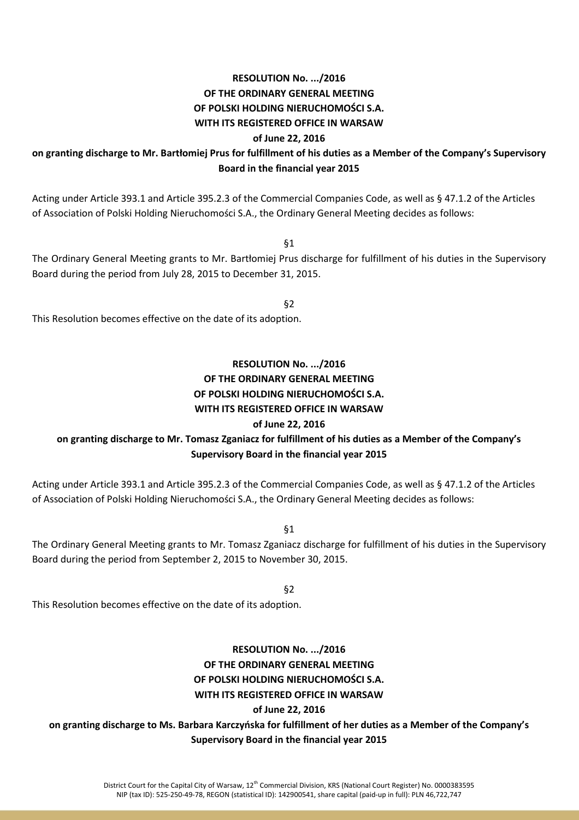# **RESOLUTION No. .../2016**

**OF THE ORDINARY GENERAL MEETING**

### **OF POLSKI HOLDING NIERUCHOMOŚCI S.A.**

#### **WITH ITS REGISTERED OFFICE IN WARSAW**

#### **of June 22, 2016**

## **on granting discharge to Mr. Bartłomiej Prus for fulfillment of his duties as a Member of the Company's Supervisory Board in the financial year 2015**

Acting under Article 393.1 and Article 395.2.3 of the Commercial Companies Code, as well as § 47.1.2 of the Articles of Association of Polski Holding Nieruchomości S.A., the Ordinary General Meeting decides as follows:

§1

The Ordinary General Meeting grants to Mr. Bartłomiej Prus discharge for fulfillment of his duties in the Supervisory Board during the period from July 28, 2015 to December 31, 2015.

§2

This Resolution becomes effective on the date of its adoption.

# **RESOLUTION No. .../2016 OF THE ORDINARY GENERAL MEETING OF POLSKI HOLDING NIERUCHOMOŚCI S.A. WITH ITS REGISTERED OFFICE IN WARSAW**

### **of June 22, 2016**

# **on granting discharge to Mr. Tomasz Zganiacz for fulfillment of his duties as a Member of the Company's Supervisory Board in the financial year 2015**

Acting under Article 393.1 and Article 395.2.3 of the Commercial Companies Code, as well as § 47.1.2 of the Articles of Association of Polski Holding Nieruchomości S.A., the Ordinary General Meeting decides as follows:

§1

The Ordinary General Meeting grants to Mr. Tomasz Zganiacz discharge for fulfillment of his duties in the Supervisory Board during the period from September 2, 2015 to November 30, 2015.

§2

This Resolution becomes effective on the date of its adoption.

## **RESOLUTION No. .../2016 OF THE ORDINARY GENERAL MEETING OF POLSKI HOLDING NIERUCHOMOŚCI S.A. WITH ITS REGISTERED OFFICE IN WARSAW of June 22, 2016**

**on granting discharge to Ms. Barbara Karczyńska for fulfillment of her duties as a Member of the Company's Supervisory Board in the financial year 2015**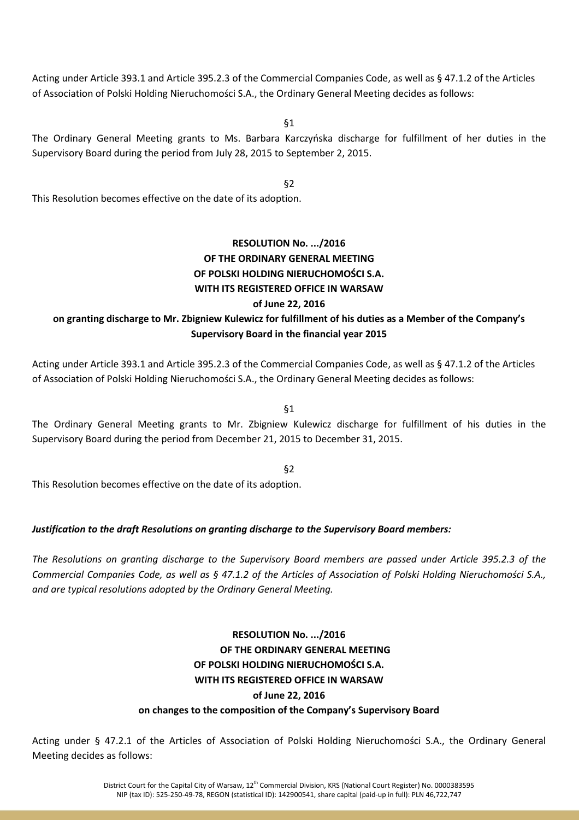Acting under Article 393.1 and Article 395.2.3 of the Commercial Companies Code, as well as § 47.1.2 of the Articles of Association of Polski Holding Nieruchomości S.A., the Ordinary General Meeting decides as follows:

§1

The Ordinary General Meeting grants to Ms. Barbara Karczyńska discharge for fulfillment of her duties in the Supervisory Board during the period from July 28, 2015 to September 2, 2015.

§2

This Resolution becomes effective on the date of its adoption.

# **RESOLUTION No. .../2016 OF THE ORDINARY GENERAL MEETING OF POLSKI HOLDING NIERUCHOMOŚCI S.A. WITH ITS REGISTERED OFFICE IN WARSAW of June 22, 2016**

# **on granting discharge to Mr. Zbigniew Kulewicz for fulfillment of his duties as a Member of the Company's Supervisory Board in the financial year 2015**

Acting under Article 393.1 and Article 395.2.3 of the Commercial Companies Code, as well as § 47.1.2 of the Articles of Association of Polski Holding Nieruchomości S.A., the Ordinary General Meeting decides as follows:

§1

The Ordinary General Meeting grants to Mr. Zbigniew Kulewicz discharge for fulfillment of his duties in the Supervisory Board during the period from December 21, 2015 to December 31, 2015.

§2

This Resolution becomes effective on the date of its adoption.

### *Justification to the draft Resolutions on granting discharge to the Supervisory Board members:*

*The Resolutions on granting discharge to the Supervisory Board members are passed under Article 395.2.3 of the Commercial Companies Code, as well as § 47.1.2 of the Articles of Association of Polski Holding Nieruchomości S.A., and are typical resolutions adopted by the Ordinary General Meeting.* 

> **RESOLUTION No. .../2016 OF THE ORDINARY GENERAL MEETING OF POLSKI HOLDING NIERUCHOMOŚCI S.A. WITH ITS REGISTERED OFFICE IN WARSAW of June 22, 2016**

#### **on changes to the composition of the Company's Supervisory Board**

Acting under § 47.2.1 of the Articles of Association of Polski Holding Nieruchomości S.A., the Ordinary General Meeting decides as follows: